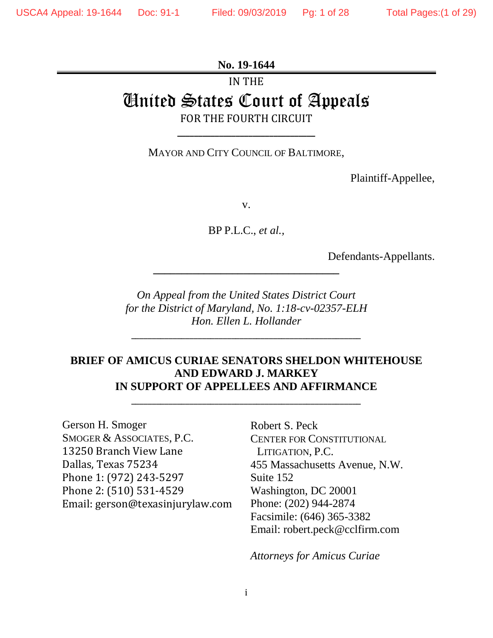## **No. 19-1644**

# IN THE United States Court of Appeals FOR THE FOURTH CIRCUIT

MAYOR AND CITY COUNCIL OF BALTIMORE,

**\_\_\_\_\_\_\_\_\_\_\_\_\_\_\_\_\_\_\_\_\_\_\_\_\_\_\_\_\_\_\_\_\_**

Plaintiff-Appellee,

v.

BP P.L.C., *et al.,*

Defendants-Appellants.

*On Appeal from the United States District Court for the District of Maryland, No. 1:18-cv-02357-ELH Hon. Ellen L. Hollander*

\_\_\_\_\_\_\_\_\_\_\_\_\_\_\_\_\_\_\_\_\_\_\_\_\_\_\_\_\_\_\_\_\_\_\_\_\_\_\_\_\_\_\_\_\_\_\_\_\_\_\_\_\_\_\_

**\_\_\_\_\_\_\_\_\_\_\_\_\_\_\_\_\_\_\_\_\_\_\_\_\_\_\_\_\_\_\_\_\_**

## **BRIEF OF AMICUS CURIAE SENATORS SHELDON WHITEHOUSE AND EDWARD J. MARKEY IN SUPPORT OF APPELLEES AND AFFIRMANCE**

\_\_\_\_\_\_\_\_\_\_\_\_\_\_\_\_\_\_\_\_\_\_\_\_\_\_\_\_\_\_\_\_\_\_\_\_\_\_\_\_\_\_\_\_\_\_\_\_\_\_\_\_\_\_\_

Gerson H. Smoger SMOGER & ASSOCIATES, P.C. 13250 Branch View Lane Dallas, Texas 75234 Phone 1: (972) 243-5297 Phone 2: (510) 531-4529 Email: gerson@texasinjurylaw.com Robert S. Peck CENTER FOR CONSTITUTIONAL LITIGATION, P.C. 455 Massachusetts Avenue, N.W. Suite 152 Washington, DC 20001 Phone: (202) 944-2874 Facsimile: (646) 365-3382 Email: [robert.peck@cclfirm.com](mailto:robert.peck@cclfirm.com)

*Attorneys for Amicus Curiae*

i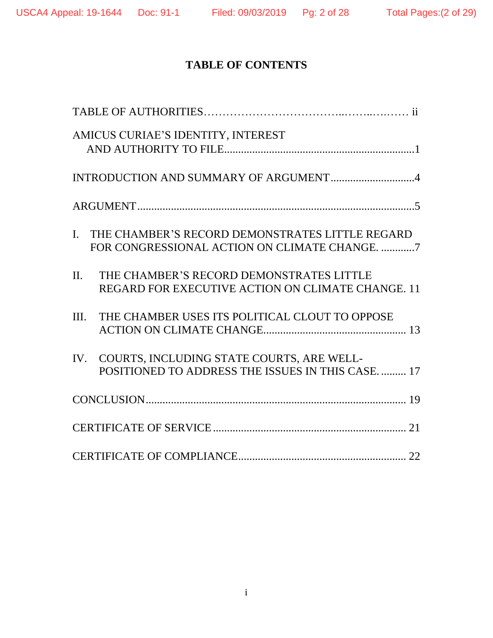## **TABLE OF CONTENTS**

| AMICUS CURIAE'S IDENTITY, INTEREST                                                                                 |
|--------------------------------------------------------------------------------------------------------------------|
| INTRODUCTION AND SUMMARY OF ARGUMENT4                                                                              |
|                                                                                                                    |
| THE CHAMBER'S RECORD DEMONSTRATES LITTLE REGARD<br>$\mathbf{I}$ .<br>FOR CONGRESSIONAL ACTION ON CLIMATE CHANGE. 7 |
| $\Pi$ .<br>THE CHAMBER'S RECORD DEMONSTRATES LITTLE<br>REGARD FOR EXECUTIVE ACTION ON CLIMATE CHANGE, 11           |
| THE CHAMBER USES ITS POLITICAL CLOUT TO OPPOSE<br>III.                                                             |
| IV. COURTS, INCLUDING STATE COURTS, ARE WELL-<br>POSITIONED TO ADDRESS THE ISSUES IN THIS CASE.  17                |
|                                                                                                                    |
|                                                                                                                    |
|                                                                                                                    |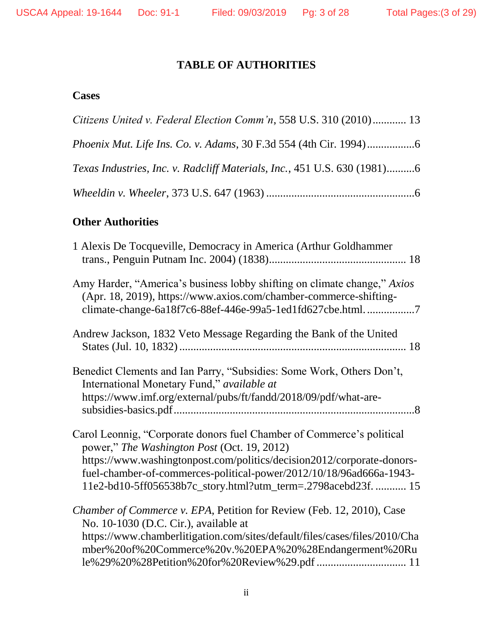## **TABLE OF AUTHORITIES**

## **Cases**

| Citizens United v. Federal Election Comm'n, 558 U.S. 310 (2010) 13        |  |
|---------------------------------------------------------------------------|--|
| <i>Phoenix Mut. Life Ins. Co. v. Adams, 30 F.3d 554 (4th Cir. 1994)</i> 6 |  |
| Texas Industries, Inc. v. Radcliff Materials, Inc., 451 U.S. 630 (1981)6  |  |
|                                                                           |  |

## **Other Authorities**

| 1 Alexis De Tocqueville, Democracy in America (Arthur Goldhammer                                                                                                                                                                                                                                                                       |
|----------------------------------------------------------------------------------------------------------------------------------------------------------------------------------------------------------------------------------------------------------------------------------------------------------------------------------------|
| Amy Harder, "America's business lobby shifting on climate change," Axios<br>(Apr. 18, 2019), https://www.axios.com/chamber-commerce-shifting-<br>climate-change-6a18f7c6-88ef-446e-99a5-1ed1fd627cbe.html7                                                                                                                             |
| Andrew Jackson, 1832 Veto Message Regarding the Bank of the United                                                                                                                                                                                                                                                                     |
| Benedict Clements and Ian Parry, "Subsidies: Some Work, Others Don't,<br>International Monetary Fund," available at<br>https://www.imf.org/external/pubs/ft/fandd/2018/09/pdf/what-are-                                                                                                                                                |
| Carol Leonnig, "Corporate donors fuel Chamber of Commerce's political<br>power," The Washington Post (Oct. 19, 2012)<br>https://www.washingtonpost.com/politics/decision2012/corporate-donors-<br>fuel-chamber-of-commerces-political-power/2012/10/18/96ad666a-1943-<br>11e2-bd10-5ff056538b7c_story.html?utm_term=.2798acebd23f.  15 |
| Chamber of Commerce v. EPA, Petition for Review (Feb. 12, 2010), Case<br>No. 10-1030 (D.C. Cir.), available at<br>https://www.chamberlitigation.com/sites/default/files/cases/files/2010/Cha<br>mber%20of%20Commerce%20v.%20EPA%20%28Endangerment%20Ru                                                                                 |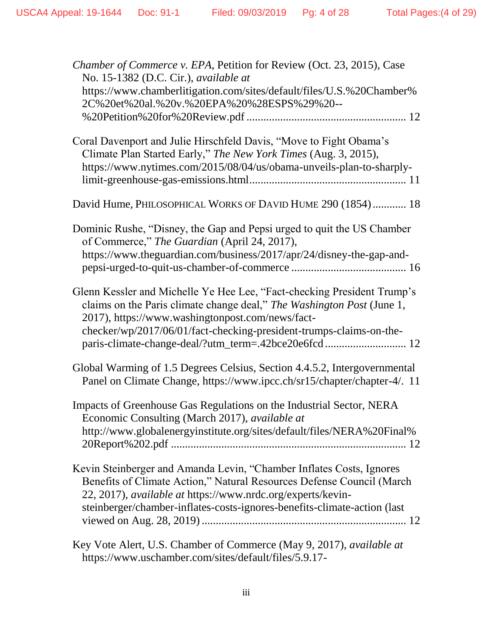| Chamber of Commerce v. EPA, Petition for Review (Oct. 23, 2015), Case<br>No. 15-1382 (D.C. Cir.), available at<br>https://www.chamberlitigation.com/sites/default/files/U.S.%20Chamber%                                                                                                                                              |
|--------------------------------------------------------------------------------------------------------------------------------------------------------------------------------------------------------------------------------------------------------------------------------------------------------------------------------------|
| 2C%20et%20al.%20v.%20EPA%20%28ESPS%29%20--                                                                                                                                                                                                                                                                                           |
| Coral Davenport and Julie Hirschfeld Davis, "Move to Fight Obama's<br>Climate Plan Started Early," The New York Times (Aug. 3, 2015),<br>https://www.nytimes.com/2015/08/04/us/obama-unveils-plan-to-sharply-                                                                                                                        |
| David Hume, PHILOSOPHICAL WORKS OF DAVID HUME 290 (1854) 18                                                                                                                                                                                                                                                                          |
| Dominic Rushe, "Disney, the Gap and Pepsi urged to quit the US Chamber<br>of Commerce," The Guardian (April 24, 2017),<br>https://www.theguardian.com/business/2017/apr/24/disney-the-gap-and-                                                                                                                                       |
| Glenn Kessler and Michelle Ye Hee Lee, "Fact-checking President Trump's<br>claims on the Paris climate change deal," The Washington Post (June 1,<br>2017), https://www.washingtonpost.com/news/fact-<br>checker/wp/2017/06/01/fact-checking-president-trumps-claims-on-the-<br>paris-climate-change-deal/?utm_term=.42bce20e6fcd 12 |
| Global Warming of 1.5 Degrees Celsius, Section 4.4.5.2, Intergovernmental<br>Panel on Climate Change, https://www.ipcc.ch/sr15/chapter/chapter-4/. 11                                                                                                                                                                                |
| Impacts of Greenhouse Gas Regulations on the Industrial Sector, NERA<br>Economic Consulting (March 2017), available at<br>http://www.globalenergyinstitute.org/sites/default/files/NERA%20Final%                                                                                                                                     |
| Kevin Steinberger and Amanda Levin, "Chamber Inflates Costs, Ignores<br>Benefits of Climate Action," Natural Resources Defense Council (March<br>22, 2017), available at https://www.nrdc.org/experts/kevin-<br>steinberger/chamber-inflates-costs-ignores-benefits-climate-action (last                                             |
| Key Vote Alert, U.S. Chamber of Commerce (May 9, 2017), <i>available at</i><br>https://www.uschamber.com/sites/default/files/5.9.17-                                                                                                                                                                                                 |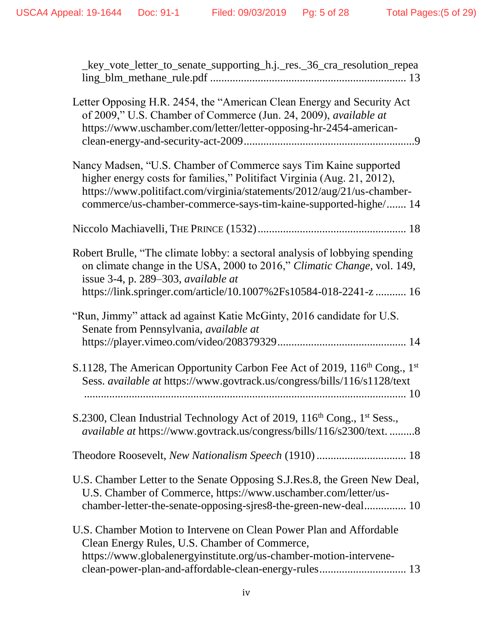| _key_vote_letter_to_senate_supporting_h.j._res._36_cra_resolution_repea                                                                                                                                                                                                                  |
|------------------------------------------------------------------------------------------------------------------------------------------------------------------------------------------------------------------------------------------------------------------------------------------|
| Letter Opposing H.R. 2454, the "American Clean Energy and Security Act<br>of 2009," U.S. Chamber of Commerce (Jun. 24, 2009), available at<br>https://www.uschamber.com/letter/letter-opposing-hr-2454-american-                                                                         |
| Nancy Madsen, "U.S. Chamber of Commerce says Tim Kaine supported<br>higher energy costs for families," Politifact Virginia (Aug. 21, 2012),<br>https://www.politifact.com/virginia/statements/2012/aug/21/us-chamber-<br>commerce/us-chamber-commerce-says-tim-kaine-supported-highe/ 14 |
|                                                                                                                                                                                                                                                                                          |
| Robert Brulle, "The climate lobby: a sectoral analysis of lobbying spending<br>on climate change in the USA, 2000 to 2016," Climatic Change, vol. 149,<br>issue 3-4, p. 289–303, available at<br>https://link.springer.com/article/10.1007%2Fs10584-018-2241-z  16                       |
| "Run, Jimmy" attack ad against Katie McGinty, 2016 candidate for U.S.<br>Senate from Pennsylvania, available at                                                                                                                                                                          |
| S.1128, The American Opportunity Carbon Fee Act of 2019, 116 <sup>th</sup> Cong., 1 <sup>st</sup><br>Sess. available at https://www.govtrack.us/congress/bills/116/s1128/text                                                                                                            |
| S.2300, Clean Industrial Technology Act of 2019, 116 <sup>th</sup> Cong., 1 <sup>st</sup> Sess.,<br><i>available at https://www.govtrack.us/congress/bills/116/s2300/text8</i>                                                                                                           |
| Theodore Roosevelt, New Nationalism Speech (1910)  18                                                                                                                                                                                                                                    |
| U.S. Chamber Letter to the Senate Opposing S.J.Res.8, the Green New Deal,<br>U.S. Chamber of Commerce, https://www.uschamber.com/letter/us-<br>chamber-letter-the-senate-opposing-sjres8-the-green-new-deal 10                                                                           |
| U.S. Chamber Motion to Intervene on Clean Power Plan and Affordable<br>Clean Energy Rules, U.S. Chamber of Commerce,<br>https://www.globalenergyinstitute.org/us-chamber-motion-intervene-<br>clean-power-plan-and-affordable-clean-energy-rules 13                                      |
|                                                                                                                                                                                                                                                                                          |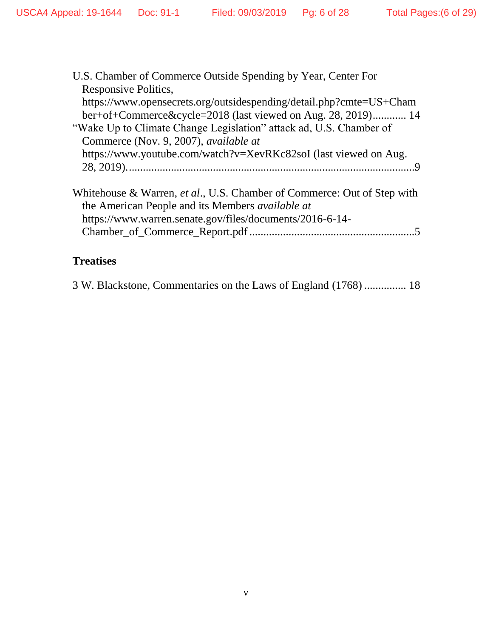| U.S. Chamber of Commerce Outside Spending by Year, Center For                                                                                                                                          |
|--------------------------------------------------------------------------------------------------------------------------------------------------------------------------------------------------------|
| Responsive Politics,                                                                                                                                                                                   |
| https://www.opensecrets.org/outsidespending/detail.php?cmte=US+Cham                                                                                                                                    |
| ber+of+Commerce&cycle=2018 (last viewed on Aug. 28, 2019) 14                                                                                                                                           |
| "Wake Up to Climate Change Legislation" attack ad, U.S. Chamber of                                                                                                                                     |
| Commerce (Nov. 9, 2007), <i>available at</i>                                                                                                                                                           |
| https://www.youtube.com/watch?v=XevRKc82soI (last viewed on Aug.                                                                                                                                       |
|                                                                                                                                                                                                        |
| Whitehouse & Warren, <i>et al.</i> , U.S. Chamber of Commerce: Out of Step with<br>the American People and its Members <i>available at</i><br>https://www.warren.senate.gov/files/documents/2016-6-14- |

## **Treatises**

<span id="page-5-0"></span>

| 3 W. Blackstone, Commentaries on the Laws of England (1768)  18 |  |  |  |  |  |  |  |  |
|-----------------------------------------------------------------|--|--|--|--|--|--|--|--|
|-----------------------------------------------------------------|--|--|--|--|--|--|--|--|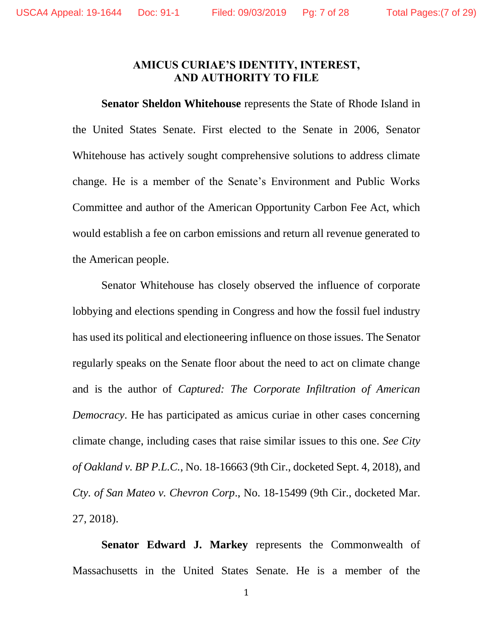### **AMICUS CURIAE'S IDENTITY, INTEREST, AND AUTHORITY TO FILE**

<span id="page-6-0"></span>**Senator Sheldon Whitehouse** represents the State of Rhode Island in the United States Senate. First elected to the Senate in 2006, Senator Whitehouse has actively sought comprehensive solutions to address climate change. He is a member of the Senate's Environment and Public Works Committee and author of the American Opportunity Carbon Fee Act, which would establish a fee on carbon emissions and return all revenue generated to the American people.

Senator Whitehouse has closely observed the influence of corporate lobbying and elections spending in Congress and how the fossil fuel industry has used its political and electioneering influence on those issues. The Senator regularly speaks on the Senate floor about the need to act on climate change and is the author of *Captured: The Corporate Infiltration of American Democracy*. He has participated as amicus curiae in other cases concerning climate change, including cases that raise similar issues to this one. *See City of Oakland v. BP P.L.C.*, No. 18-16663 (9th Cir., docketed Sept. 4, 2018), and *Cty. of San Mateo v. Chevron Corp*., No. 18-15499 (9th Cir., docketed Mar. 27, 2018).

**Senator Edward J. Markey** represents the Commonwealth of Massachusetts in the United States Senate. He is a member of the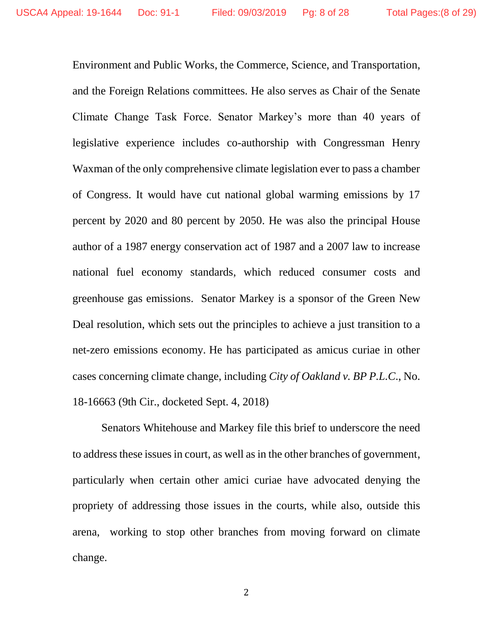Environment and Public Works, the Commerce, Science, and Transportation, and the Foreign Relations committees. He also serves as Chair of the Senate Climate Change Task Force. Senator Markey's more than 40 years of legislative experience includes co-authorship with Congressman Henry Waxman of the only comprehensive climate legislation ever to pass a chamber of Congress. It would have cut national global warming emissions by 17 percent by 2020 and 80 percent by 2050. He was also the principal House author of a 1987 energy conservation act of 1987 and a 2007 law to increase national fuel economy standards, which reduced consumer costs and greenhouse gas emissions. Senator Markey is a sponsor of the Green New Deal resolution, which sets out the principles to achieve a just transition to a net-zero emissions economy. He has participated as amicus curiae in other cases concerning climate change, including *City of Oakland v. BP P.L.C*., No. 18-16663 (9th Cir., docketed Sept. 4, 2018)

Senators Whitehouse and Markey file this brief to underscore the need to address these issues in court, as well as in the other branches of government, particularly when certain other amici curiae have advocated denying the propriety of addressing those issues in the courts, while also, outside this arena, working to stop other branches from moving forward on climate change.

2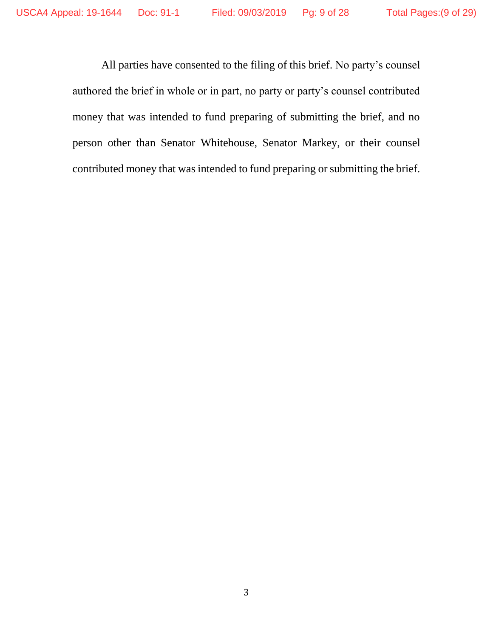All parties have consented to the filing of this brief. No party's counsel authored the brief in whole or in part, no party or party's counsel contributed money that was intended to fund preparing of submitting the brief, and no person other than Senator Whitehouse, Senator Markey, or their counsel contributed money that was intended to fund preparing or submitting the brief.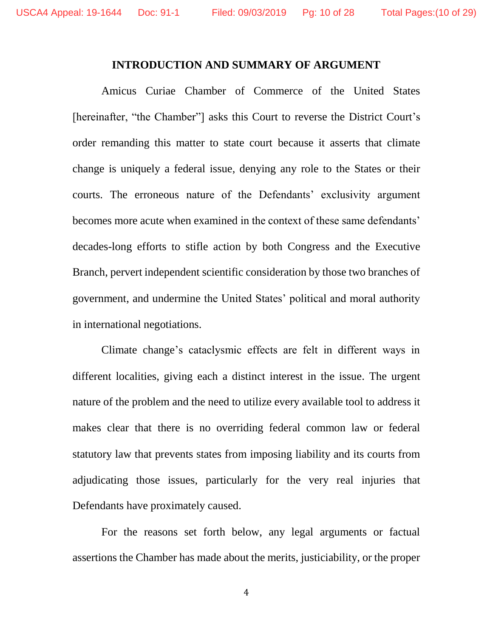#### **INTRODUCTION AND SUMMARY OF ARGUMENT**

<span id="page-9-0"></span>Amicus Curiae Chamber of Commerce of the United States [hereinafter, "the Chamber"] asks this Court to reverse the District Court's order remanding this matter to state court because it asserts that climate change is uniquely a federal issue, denying any role to the States or their courts. The erroneous nature of the Defendants' exclusivity argument becomes more acute when examined in the context of these same defendants' decades-long efforts to stifle action by both Congress and the Executive Branch, pervert independent scientific consideration by those two branches of government, and undermine the United States' political and moral authority in international negotiations.

Climate change's cataclysmic effects are felt in different ways in different localities, giving each a distinct interest in the issue. The urgent nature of the problem and the need to utilize every available tool to address it makes clear that there is no overriding federal common law or federal statutory law that prevents states from imposing liability and its courts from adjudicating those issues, particularly for the very real injuries that Defendants have proximately caused.

For the reasons set forth below, any legal arguments or factual assertions the Chamber has made about the merits, justiciability, or the proper

4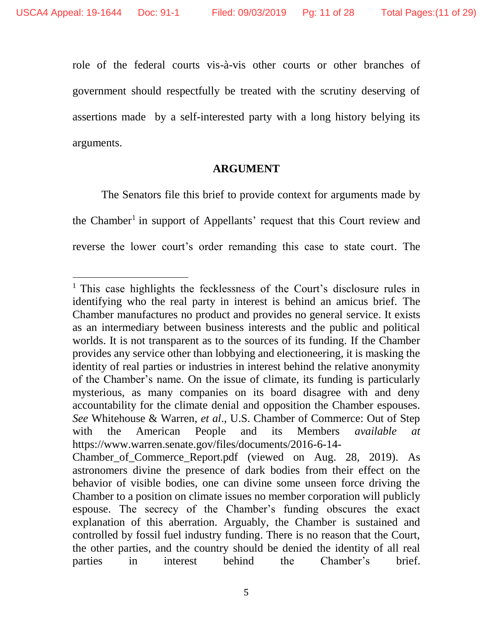$\overline{a}$ 

role of the federal courts vis-à-vis other courts or other branches of government should respectfully be treated with the scrutiny deserving of assertions made by a self-interested party with a long history belying its arguments.

#### **ARGUMENT**

<span id="page-10-0"></span>The Senators file this brief to provide context for arguments made by the Chamber<sup>1</sup> in support of Appellants' request that this Court review and reverse the lower court's order remanding this case to state court. The

<sup>&</sup>lt;sup>1</sup> This case highlights the fecklessness of the Court's disclosure rules in identifying who the real party in interest is behind an amicus brief. The Chamber manufactures no product and provides no general service. It exists as an intermediary between business interests and the public and political worlds. It is not transparent as to the sources of its funding. If the Chamber provides any service other than lobbying and electioneering, it is masking the identity of real parties or industries in interest behind the relative anonymity of the Chamber's name. On the issue of climate, its funding is particularly mysterious, as many companies on its board disagree with and deny accountability for the climate denial and opposition the Chamber espouses. *See* Whitehouse & Warren, *et al*., U.S. Chamber of Commerce: Out of Step with the American People and its Members *available at* https://www.warren.senate.gov/files/documents/2016-6-14- Chamber of Commerce Report.pdf (viewed on Aug. 28, 2019). As astronomers divine the presence of dark bodies from their effect on the behavior of visible bodies, one can divine some unseen force driving the

Chamber to a position on climate issues no member corporation will publicly espouse. The secrecy of the Chamber's funding obscures the exact explanation of this aberration. Arguably, the Chamber is sustained and controlled by fossil fuel industry funding. There is no reason that the Court, the other parties, and the country should be denied the identity of all real parties in interest behind the Chamber's brief.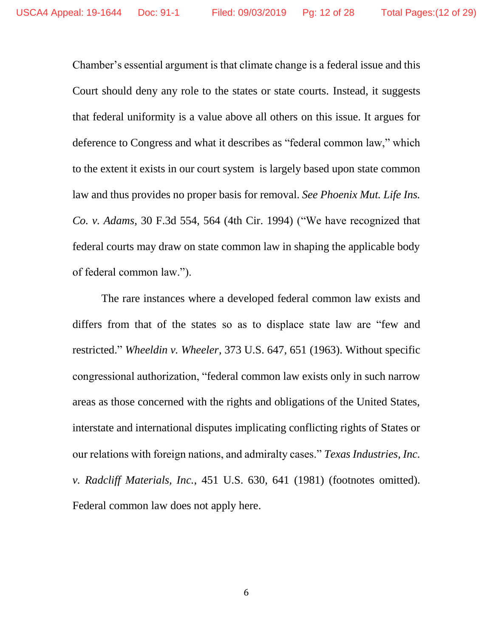Chamber's essential argument is that climate change is a federal issue and this Court should deny any role to the states or state courts. Instead, it suggests that federal uniformity is a value above all others on this issue. It argues for deference to Congress and what it describes as "federal common law," which to the extent it exists in our court system is largely based upon state common law and thus provides no proper basis for removal. *See Phoenix Mut. Life Ins. Co. v. Adams*, 30 F.3d 554, 564 (4th Cir. 1994) ("We have recognized that federal courts may draw on state common law in shaping the applicable body of federal common law.").

The rare instances where a developed federal common law exists and differs from that of the states so as to displace state law are "few and restricted." *Wheeldin v. Wheeler*, 373 U.S. 647, 651 (1963). Without specific congressional authorization, "federal common law exists only in such narrow areas as those concerned with the rights and obligations of the United States, interstate and international disputes implicating conflicting rights of States or our relations with foreign nations, and admiralty cases." *Texas Industries, Inc. v. Radcliff Materials, Inc.*, 451 U.S. 630, 641 (1981) (footnotes omitted). Federal common law does not apply here.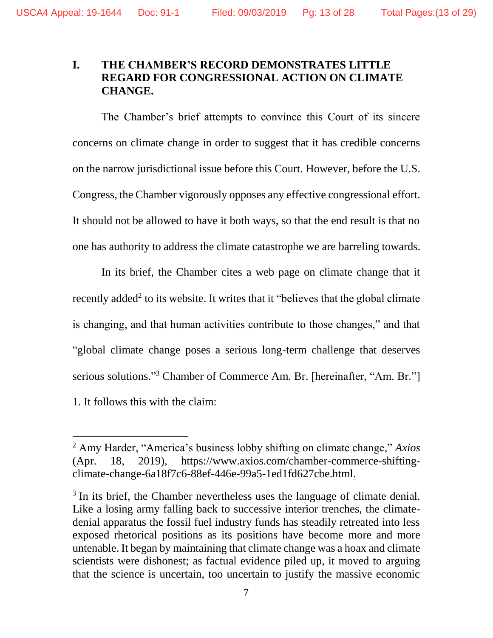## <span id="page-12-0"></span>**I. THE CHAMBER'S RECORD DEMONSTRATES LITTLE REGARD FOR CONGRESSIONAL ACTION ON CLIMATE CHANGE.**

The Chamber's brief attempts to convince this Court of its sincere concerns on climate change in order to suggest that it has credible concerns on the narrow jurisdictional issue before this Court. However, before the U.S. Congress, the Chamber vigorously opposes any effective congressional effort. It should not be allowed to have it both ways, so that the end result is that no one has authority to address the climate catastrophe we are barreling towards.

In its brief, the Chamber cites a web page on climate change that it recently added<sup>2</sup> to its website. It writes that it "believes that the global climate is changing, and that human activities contribute to those changes," and that "global climate change poses a serious long-term challenge that deserves serious solutions." <sup>3</sup> Chamber of Commerce Am. Br. [hereinafter, "Am. Br."] 1. It follows this with the claim:

<sup>2</sup> Amy Harder, "America's business lobby shifting on climate change," *Axios* (Apr. 18, 2019), https://www.axios.com/chamber-commerce-shiftingclimate-change-6a18f7c6-88ef-446e-99a5-1ed1fd627cbe.html.

<sup>&</sup>lt;sup>3</sup> In its brief, the Chamber nevertheless uses the language of climate denial. Like a losing army falling back to successive interior trenches, the climatedenial apparatus the fossil fuel industry funds has steadily retreated into less exposed rhetorical positions as its positions have become more and more untenable. It began by maintaining that climate change was a hoax and climate scientists were dishonest; as factual evidence piled up, it moved to arguing that the science is uncertain, too uncertain to justify the massive economic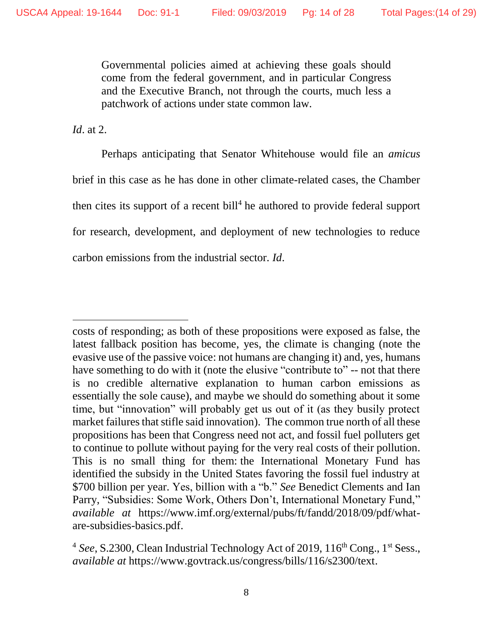Governmental policies aimed at achieving these goals should come from the federal government, and in particular Congress and the Executive Branch, not through the courts, much less a patchwork of actions under state common law.

*Id*. at 2.

 $\overline{a}$ 

Perhaps anticipating that Senator Whitehouse would file an *amicus* brief in this case as he has done in other climate-related cases, the Chamber then cites its support of a recent bill<sup>4</sup> he authored to provide federal support for research, development, and deployment of new technologies to reduce carbon emissions from the industrial sector. *Id*.

costs of responding; as both of these propositions were exposed as false, the latest fallback position has become, yes, the climate is changing (note the evasive use of the passive voice: not humans are changing it) and, yes, humans have something to do with it (note the elusive "contribute to" -- not that there is no credible alternative explanation to human carbon emissions as essentially the sole cause), and maybe we should do something about it some time, but "innovation" will probably get us out of it (as they busily protect market failures that stifle said innovation). The common true north of all these propositions has been that Congress need not act, and fossil fuel polluters get to continue to pollute without paying for the very real costs of their pollution. This is no small thing for them: the International Monetary Fund has identified the subsidy in the United States favoring the fossil fuel industry at \$700 billion per year. Yes, billion with a "b." *See* Benedict Clements and Ian Parry, "Subsidies: Some Work, Others Don't, International Monetary Fund," *available at* https://www.imf.org/external/pubs/ft/fandd/2018/09/pdf/whatare-subsidies-basics.pdf.

<sup>&</sup>lt;sup>4</sup> See, S.2300, Clean Industrial Technology Act of 2019, 116<sup>th</sup> Cong., 1<sup>st</sup> Sess., *available at* https://www.govtrack.us/congress/bills/116/s2300/text.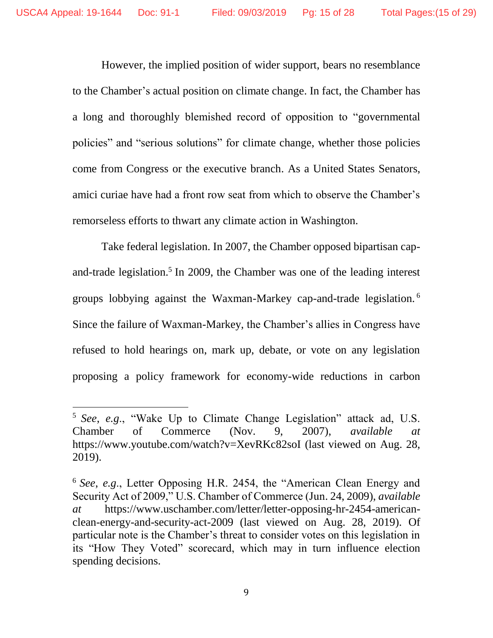However, the implied position of wider support, bears no resemblance to the Chamber's actual position on climate change. In fact, the Chamber has a long and thoroughly blemished record of opposition to "governmental policies" and "serious solutions" for climate change, whether those policies come from Congress or the executive branch. As a United States Senators, amici curiae have had a front row seat from which to observe the Chamber's remorseless efforts to thwart any climate action in Washington.

Take federal legislation. In 2007, the Chamber opposed bipartisan capand-trade legislation.<sup>5</sup> In 2009, the Chamber was one of the leading interest groups lobbying against the Waxman-Markey cap-and-trade legislation. <sup>6</sup> Since the failure of Waxman-Markey, the Chamber's allies in Congress have refused to hold hearings on, mark up, debate, or vote on any legislation proposing a policy framework for economy-wide reductions in carbon

<sup>5</sup> *See*, *e.g*., "Wake Up to Climate Change Legislation" attack ad, U.S. Chamber of Commerce (Nov. 9, 2007), *available at* https://www.youtube.com/watch?v=XevRKc82soI (last viewed on Aug. 28, 2019).

<sup>6</sup> *See*, *e.g*., Letter Opposing H.R. 2454, the "American Clean Energy and Security Act of 2009," U.S. Chamber of Commerce (Jun. 24, 2009), *available at* https://www.uschamber.com/letter/letter-opposing-hr-2454-americanclean-energy-and-security-act-2009 (last viewed on Aug. 28, 2019). Of particular note is the Chamber's threat to consider votes on this legislation in its "How They Voted" scorecard, which may in turn influence election spending decisions.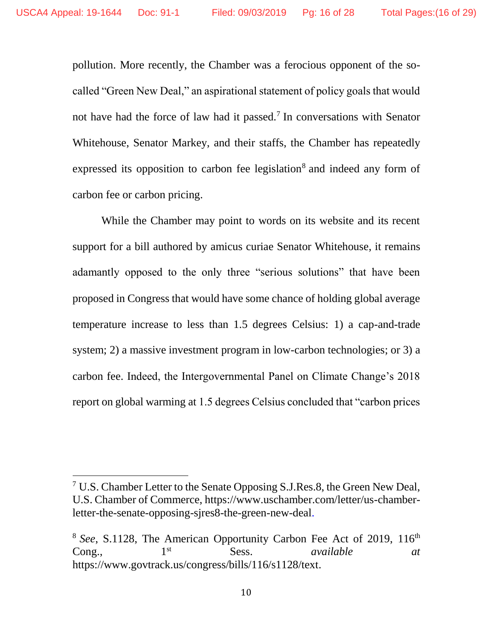pollution. More recently, the Chamber was a ferocious opponent of the socalled "Green New Deal," an aspirational statement of policy goals that would not have had the force of law had it passed.<sup>7</sup> In conversations with Senator Whitehouse, Senator Markey, and their staffs, the Chamber has repeatedly expressed its opposition to carbon fee legislation<sup>8</sup> and indeed any form of carbon fee or carbon pricing.

While the Chamber may point to words on its website and its recent support for a bill authored by amicus curiae Senator Whitehouse, it remains adamantly opposed to the only three "serious solutions" that have been proposed in Congress that would have some chance of holding global average temperature increase to less than 1.5 degrees Celsius: 1) a cap-and-trade system; 2) a massive investment program in low-carbon technologies; or 3) a carbon fee. Indeed, the Intergovernmental Panel on Climate Change's 2018 report on global warming at 1.5 degrees Celsius concluded that "carbon prices

 $7 \text{ U.S. Chamber Letter to the Senate Opposing S.J. Res.8, the Green New Deal, }$ U.S. Chamber of Commerce, https://www.uschamber.com/letter/us-chamberletter-the-senate-opposing-sjres8-the-green-new-deal.

<sup>&</sup>lt;sup>8</sup> See, S.1128, The American Opportunity Carbon Fee Act of 2019, 116<sup>th</sup> Cong., 1st Sess. *available at* https://www.govtrack.us/congress/bills/116/s1128/text.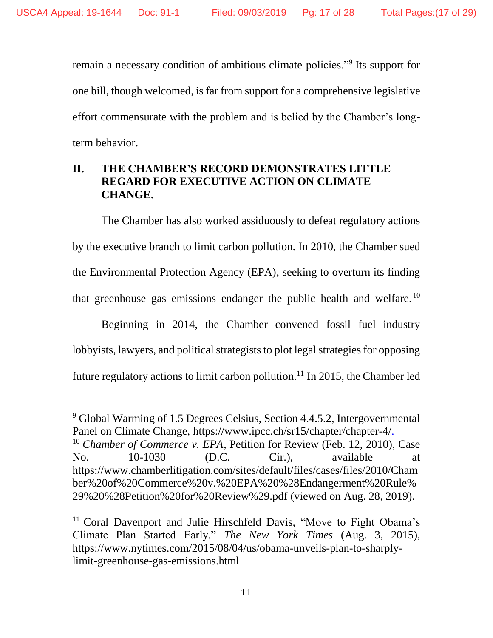remain a necessary condition of ambitious climate policies."<sup>9</sup> Its support for one bill, though welcomed, is far from support for a comprehensive legislative effort commensurate with the problem and is belied by the Chamber's longterm behavior.

## <span id="page-16-0"></span>**II. THE CHAMBER'S RECORD DEMONSTRATES LITTLE REGARD FOR EXECUTIVE ACTION ON CLIMATE CHANGE.**

The Chamber has also worked assiduously to defeat regulatory actions by the executive branch to limit carbon pollution. In 2010, the Chamber sued the Environmental Protection Agency (EPA), seeking to overturn its finding that greenhouse gas emissions endanger the public health and welfare. <sup>10</sup>

Beginning in 2014, the Chamber convened fossil fuel industry lobbyists, lawyers, and political strategists to plot legal strategies for opposing future regulatory actions to limit carbon pollution.<sup>11</sup> In 2015, the Chamber led

<sup>9</sup> Global Warming of 1.5 Degrees Celsius, Section 4.4.5.2, Intergovernmental Panel on Climate Change, https://www.ipcc.ch/sr15/chapter/chapter-4/. <sup>10</sup> *Chamber of Commerce v. EPA*, Petition for Review (Feb. 12, 2010), Case No. 10-1030 (D.C. Cir.), available at https://www.chamberlitigation.com/sites/default/files/cases/files/2010/Cham ber%20of%20Commerce%20v.%20EPA%20%28Endangerment%20Rule% 29%20%28Petition%20for%20Review%29.pdf (viewed on Aug. 28, 2019).

<sup>&</sup>lt;sup>11</sup> Coral Davenport and Julie Hirschfeld Davis, "Move to Fight Obama's Climate Plan Started Early," *The New York Times* (Aug. 3, 2015), https://www.nytimes.com/2015/08/04/us/obama-unveils-plan-to-sharplylimit-greenhouse-gas-emissions.html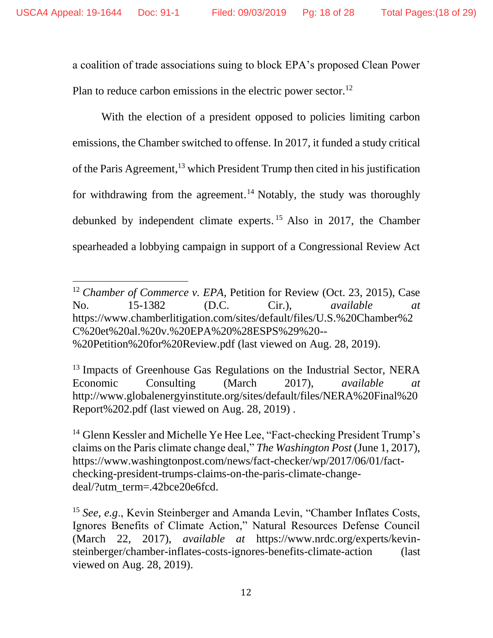a coalition of trade associations suing to block EPA's proposed Clean Power Plan to reduce carbon emissions in the electric power sector.<sup>12</sup>

With the election of a president opposed to policies limiting carbon emissions, the Chamber switched to offense. In 2017, it funded a study critical of the Paris Agreement, <sup>13</sup> which President Trump then cited in his justification for withdrawing from the agreement. <sup>14</sup> Notably, the study was thoroughly debunked by independent climate experts. <sup>15</sup> Also in 2017, the Chamber spearheaded a lobbying campaign in support of a Congressional Review Act

<sup>&</sup>lt;sup>12</sup> *Chamber of Commerce v. EPA*, Petition for Review (Oct. 23, 2015), Case No. 15-1382 (D.C. Cir.), *available at* https://www.chamberlitigation.com/sites/default/files/U.S.%20Chamber%2 C%20et%20al.%20v.%20EPA%20%28ESPS%29%20-- %20Petition%20for%20Review.pdf (last viewed on Aug. 28, 2019).

<sup>&</sup>lt;sup>13</sup> Impacts of Greenhouse Gas Regulations on the Industrial Sector, NERA Economic Consulting (March 2017), *available at* http://www.globalenergyinstitute.org/sites/default/files/NERA%20Final%20 Report%202.pdf (last viewed on Aug. 28, 2019) .

<sup>&</sup>lt;sup>14</sup> Glenn Kessler and Michelle Ye Hee Lee, "Fact-checking President Trump's claims on the Paris climate change deal," *The Washington Post* (June 1, 2017), https://www.washingtonpost.com/news/fact-checker/wp/2017/06/01/factchecking-president-trumps-claims-on-the-paris-climate-changedeal/?utm\_term=.42bce20e6fcd.

<sup>&</sup>lt;sup>15</sup> *See*, *e.g.*, Kevin Steinberger and Amanda Levin, "Chamber Inflates Costs, Ignores Benefits of Climate Action," Natural Resources Defense Council (March 22, 2017), *available at* https://www.nrdc.org/experts/kevinsteinberger/chamber-inflates-costs-ignores-benefits-climate-action (last viewed on Aug. 28, 2019).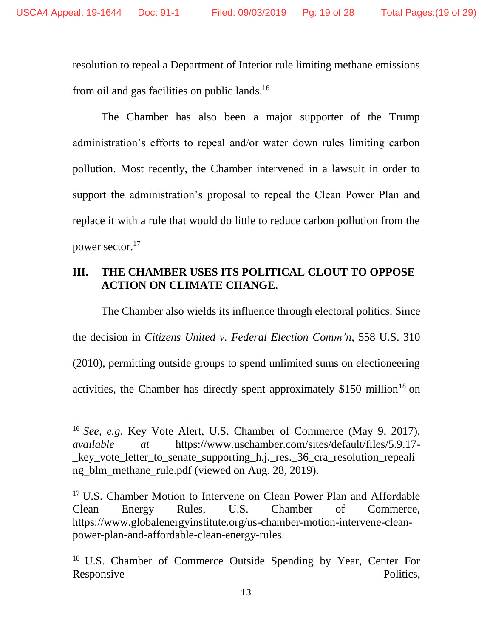resolution to repeal a Department of Interior rule limiting methane emissions from oil and gas facilities on public lands.<sup>16</sup>

The Chamber has also been a major supporter of the Trump administration's efforts to repeal and/or water down rules limiting carbon pollution. Most recently, the Chamber intervened in a lawsuit in order to support the administration's proposal to repeal the Clean Power Plan and replace it with a rule that would do little to reduce carbon pollution from the power sector.<sup>17</sup>

## <span id="page-18-0"></span>**III. THE CHAMBER USES ITS POLITICAL CLOUT TO OPPOSE ACTION ON CLIMATE CHANGE.**

The Chamber also wields its influence through electoral politics. Since the decision in *Citizens United v. Federal Election Comm'n*, 558 U.S. 310 (2010), permitting outside groups to spend unlimited sums on electioneering activities, the Chamber has directly spent approximately  $$150$  million<sup>18</sup> on

<sup>16</sup> *See*, *e.g*. Key Vote Alert, U.S. Chamber of Commerce (May 9, 2017), *available at* https://www.uschamber.com/sites/default/files/5.9.17 key vote letter to senate supporting h.j. res. 36 cra resolution repeali ng\_blm\_methane\_rule.pdf (viewed on Aug. 28, 2019).

<sup>&</sup>lt;sup>17</sup> U.S. Chamber Motion to Intervene on Clean Power Plan and Affordable Clean Energy Rules, U.S. Chamber of Commerce, https://www.globalenergyinstitute.org/us-chamber-motion-intervene-cleanpower-plan-and-affordable-clean-energy-rules.

<sup>18</sup> U.S. Chamber of Commerce Outside Spending by Year, Center For Responsive Politics,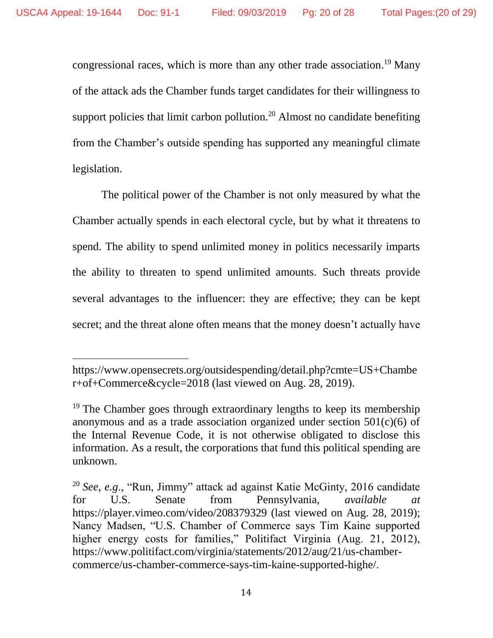congressional races, which is more than any other trade association.<sup>19</sup> Many of the attack ads the Chamber funds target candidates for their willingness to support policies that limit carbon pollution.<sup>20</sup> Almost no candidate benefiting from the Chamber's outside spending has supported any meaningful climate legislation.

The political power of the Chamber is not only measured by what the Chamber actually spends in each electoral cycle, but by what it threatens to spend. The ability to spend unlimited money in politics necessarily imparts the ability to threaten to spend unlimited amounts. Such threats provide several advantages to the influencer: they are effective; they can be kept secret; and the threat alone often means that the money doesn't actually have

https://www.opensecrets.org/outsidespending/detail.php?cmte=US+Chambe r+of+Commerce&cycle=2018 (last viewed on Aug. 28, 2019).

<sup>&</sup>lt;sup>19</sup> The Chamber goes through extraordinary lengths to keep its membership anonymous and as a trade association organized under section  $501(c)(6)$  of the Internal Revenue Code, it is not otherwise obligated to disclose this information. As a result, the corporations that fund this political spending are unknown.

<sup>20</sup> *See*, *e.g*., "Run, Jimmy" attack ad against Katie McGinty, 2016 candidate for U.S. Senate from Pennsylvania, *available at* https://player.vimeo.com/video/208379329 (last viewed on Aug. 28, 2019); Nancy Madsen, "U.S. Chamber of Commerce says Tim Kaine supported higher energy costs for families," Politifact Virginia (Aug. 21, 2012), https://www.politifact.com/virginia/statements/2012/aug/21/us-chambercommerce/us-chamber-commerce-says-tim-kaine-supported-highe/.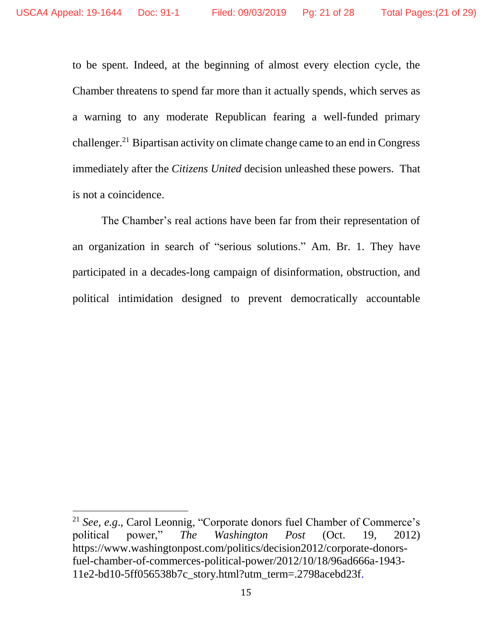$\overline{a}$ 

<span id="page-20-0"></span>to be spent. Indeed, at the beginning of almost every election cycle, the Chamber threatens to spend far more than it actually spends, which serves as a warning to any moderate Republican fearing a well-funded primary challenger.<sup>21</sup> Bipartisan activity on climate change came to an end in Congress immediately after the *Citizens United* decision unleashed these powers. That is not a coincidence.

The Chamber's real actions have been far from their representation of an organization in search of "serious solutions." Am. Br. 1. They have participated in a decades-long campaign of disinformation, obstruction, and political intimidation designed to prevent democratically accountable

<sup>21</sup> *See*, *e.g*., Carol Leonnig, "Corporate donors fuel Chamber of Commerce's political power," *The Washington Post* (Oct. 19, 2012) https://www.washingtonpost.com/politics/decision2012/corporate-donorsfuel-chamber-of-commerces-political-power/2012/10/18/96ad666a-1943- 11e2-bd10-5ff056538b7c\_story.html?utm\_term=.2798acebd23f.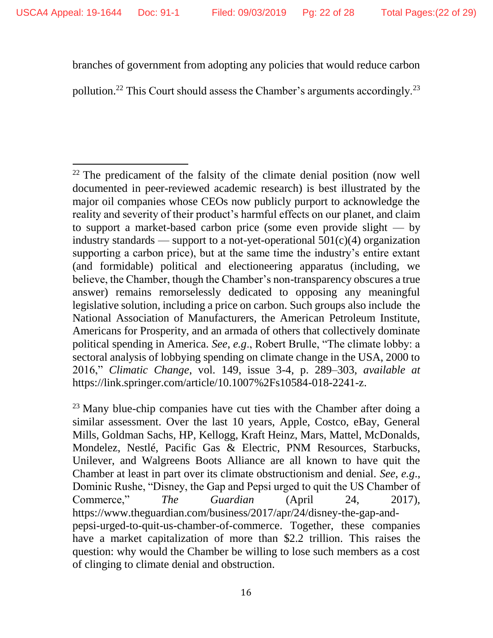l

branches of government from adopting any policies that would reduce carbon

pollution.<sup>22</sup> This Court should assess the Chamber's arguments accordingly.<sup>23</sup>

 $22$  The predicament of the falsity of the climate denial position (now well documented in peer-reviewed academic research) is best illustrated by the major oil companies whose CEOs now publicly purport to acknowledge the reality and severity of their product's harmful effects on our planet, and claim to support a market-based carbon price (some even provide slight — by industry standards — support to a not-yet-operational  $501(c)(4)$  organization supporting a carbon price), but at the same time the industry's entire extant (and formidable) political and electioneering apparatus (including, we believe, the Chamber, though the Chamber's non-transparency obscures a true answer) remains remorselessly dedicated to opposing any meaningful legislative solution, including a price on carbon. Such groups also include the National Association of Manufacturers, the American Petroleum Institute, Americans for Prosperity, and an armada of others that collectively dominate political spending in America. *See*, *e.g*., Robert Brulle, "The climate lobby: a sectoral analysis of lobbying spending on climate change in the USA, 2000 to 2016," *Climatic Change*, vol. 149, issue 3-4, p. 289–303, *available at* https://link.springer.com/article/10.1007%2Fs10584-018-2241-z.

 $^{23}$  Many blue-chip companies have cut ties with the Chamber after doing a similar assessment. Over the last 10 years, Apple, Costco, eBay, General Mills, Goldman Sachs, HP, Kellogg, Kraft Heinz, Mars, Mattel, McDonalds, Mondelez, Nestlé, Pacific Gas & Electric, PNM Resources, Starbucks, Unilever, and Walgreens Boots Alliance are all known to have quit the Chamber at least in part over its climate obstructionism and denial. *See*, *e.g*., Dominic Rushe, "Disney, the Gap and Pepsi urged to quit the US Chamber of Commerce," *The Guardian* (April 24, 2017), https://www.theguardian.com/business/2017/apr/24/disney-the-gap-andpepsi-urged-to-quit-us-chamber-of-commerce. Together, these companies have a market capitalization of more than \$2.2 trillion. This raises the question: why would the Chamber be willing to lose such members as a cost of clinging to climate denial and obstruction.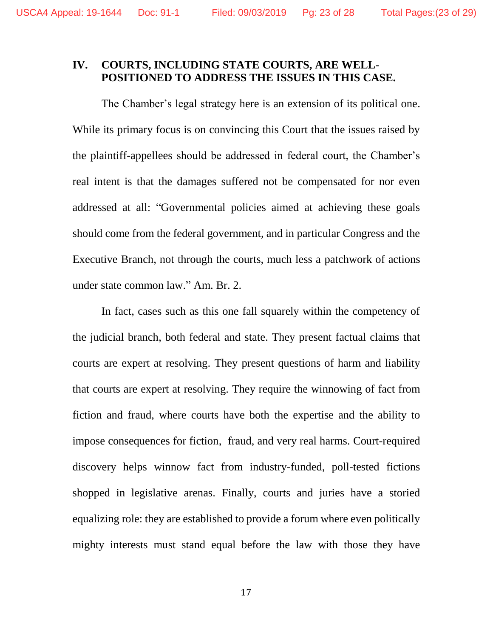## **IV. COURTS, INCLUDING STATE COURTS, ARE WELL-POSITIONED TO ADDRESS THE ISSUES IN THIS CASE.**

The Chamber's legal strategy here is an extension of its political one. While its primary focus is on convincing this Court that the issues raised by the plaintiff-appellees should be addressed in federal court, the Chamber's real intent is that the damages suffered not be compensated for nor even addressed at all: "Governmental policies aimed at achieving these goals should come from the federal government, and in particular Congress and the Executive Branch, not through the courts, much less a patchwork of actions under state common law." Am. Br. 2.

In fact, cases such as this one fall squarely within the competency of the judicial branch, both federal and state. They present factual claims that courts are expert at resolving. They present questions of harm and liability that courts are expert at resolving. They require the winnowing of fact from fiction and fraud, where courts have both the expertise and the ability to impose consequences for fiction, fraud, and very real harms. Court-required discovery helps winnow fact from industry-funded, poll-tested fictions shopped in legislative arenas. Finally, courts and juries have a storied equalizing role: they are established to provide a forum where even politically mighty interests must stand equal before the law with those they have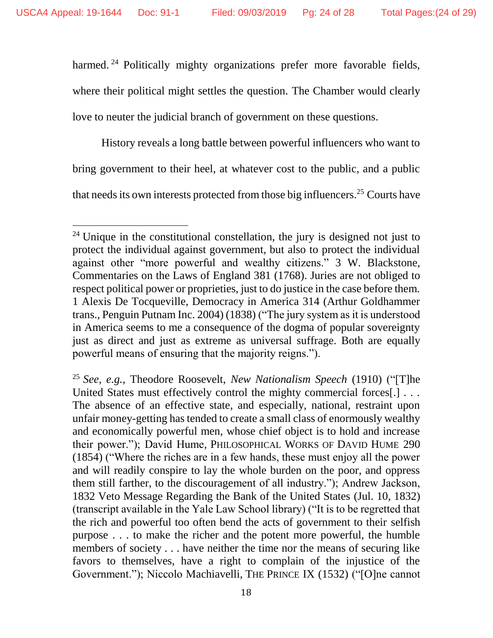$\overline{a}$ 

harmed.<sup>24</sup> Politically mighty organizations prefer more favorable fields, where their political might settles the question. The Chamber would clearly love to neuter the judicial branch of government on these questions.

History reveals a long battle between powerful influencers who want to bring government to their heel, at whatever cost to the public, and a public that needs its own interests protected from those big influencers.<sup>25</sup> Courts have

<sup>&</sup>lt;sup>24</sup> Unique in the constitutional constellation, the jury is designed not just to protect the individual against government, but also to protect the individual against other "more powerful and wealthy citizens." 3 W. Blackstone, Commentaries on the Laws of England 381 (1768). Juries are not obliged to respect political power or proprieties, just to do justice in the case before them. 1 Alexis De Tocqueville, Democracy in America 314 (Arthur Goldhammer trans., Penguin Putnam Inc. 2004) (1838) ("The jury system as it is understood in America seems to me a consequence of the dogma of popular sovereignty just as direct and just as extreme as universal suffrage. Both are equally powerful means of ensuring that the majority reigns.").

<sup>25</sup> *See, e.g.*, Theodore Roosevelt, *New Nationalism Speech* (1910) ("[T]he United States must effectively control the mighty commercial forces[.] . . . The absence of an effective state, and especially, national, restraint upon unfair money-getting has tended to create a small class of enormously wealthy and economically powerful men, whose chief object is to hold and increase their power."); David Hume*,* PHILOSOPHICAL WORKS OF DAVID HUME 290 (1854) ("Where the riches are in a few hands, these must enjoy all the power and will readily conspire to lay the whole burden on the poor, and oppress them still farther, to the discouragement of all industry."); Andrew Jackson, 1832 Veto Message Regarding the Bank of the United States (Jul. 10, 1832) (transcript available in the Yale Law School library) ("It is to be regretted that the rich and powerful too often bend the acts of government to their selfish purpose . . . to make the richer and the potent more powerful, the humble members of society . . . have neither the time nor the means of securing like favors to themselves, have a right to complain of the injustice of the Government."); Niccolo Machiavelli, THE PRINCE IX (1532) ("[O]ne cannot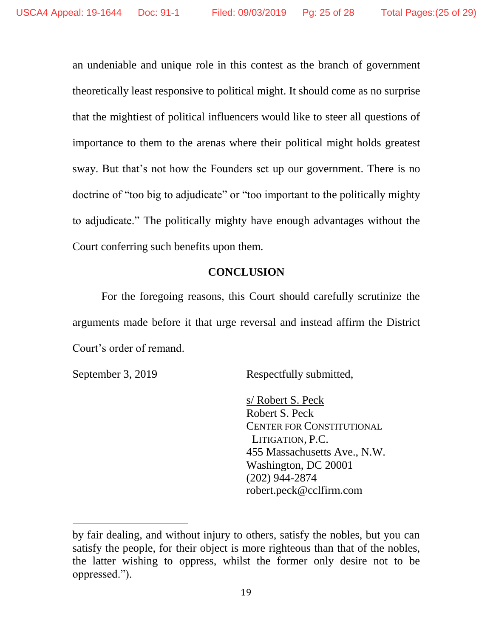an undeniable and unique role in this contest as the branch of government theoretically least responsive to political might. It should come as no surprise that the mightiest of political influencers would like to steer all questions of importance to them to the arenas where their political might holds greatest sway. But that's not how the Founders set up our government. There is no doctrine of "too big to adjudicate" or "too important to the politically mighty to adjudicate." The politically mighty have enough advantages without the Court conferring such benefits upon them.

## **CONCLUSION**

<span id="page-24-0"></span>For the foregoing reasons, this Court should carefully scrutinize the arguments made before it that urge reversal and instead affirm the District Court's order of remand.

 $\overline{a}$ 

September 3, 2019 Respectfully submitted,

s/ Robert S. Peck Robert S. Peck CENTER FOR CONSTITUTIONAL LITIGATION, P.C. 455 Massachusetts Ave., N.W. Washington, DC 20001 (202) 944-2874 robert.peck@cclfirm.com

by fair dealing, and without injury to others, satisfy the nobles, but you can satisfy the people, for their object is more righteous than that of the nobles, the latter wishing to oppress, whilst the former only desire not to be oppressed.").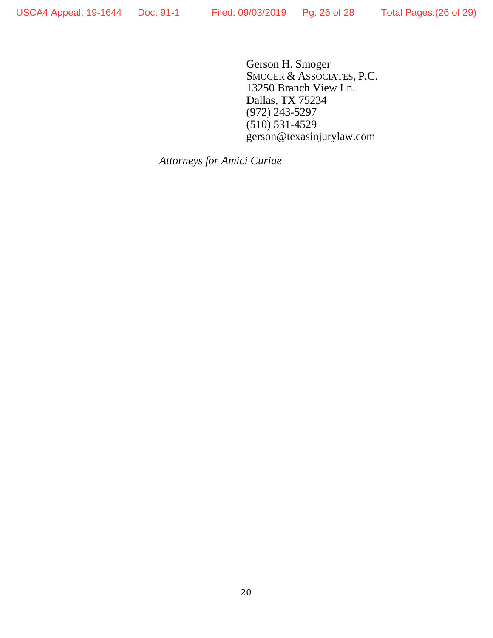Gerson H. Smoger SMOGER & ASSOCIATES, P.C. 13250 Branch View Ln. Dallas, TX 75234 (972) 243-5297 (510) 531-4529 gerson@texasinjurylaw.com

*Attorneys for Amici Curiae*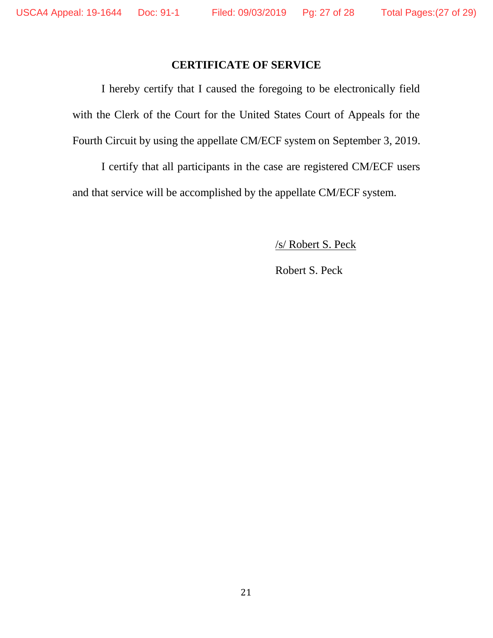### **CERTIFICATE OF SERVICE**

<span id="page-26-0"></span>I hereby certify that I caused the foregoing to be electronically field with the Clerk of the Court for the United States Court of Appeals for the Fourth Circuit by using the appellate CM/ECF system on September 3, 2019.

I certify that all participants in the case are registered CM/ECF users and that service will be accomplished by the appellate CM/ECF system.

/s/ Robert S. Peck

Robert S. Peck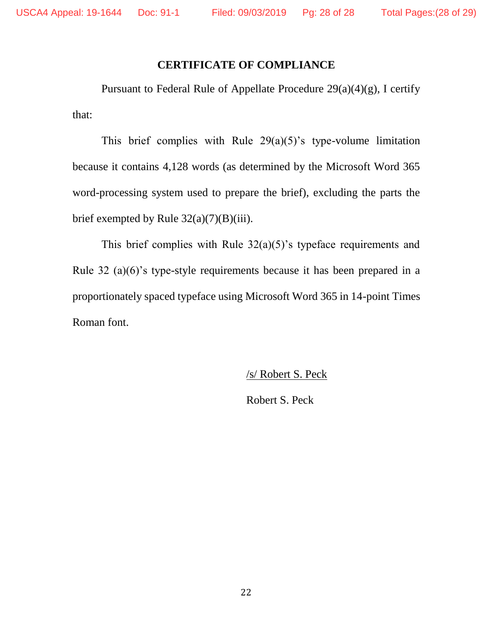## **CERTIFICATE OF COMPLIANCE**

<span id="page-27-0"></span>Pursuant to Federal Rule of Appellate Procedure  $29(a)(4)(g)$ , I certify that:

This brief complies with Rule  $29(a)(5)$ 's type-volume limitation because it contains 4,128 words (as determined by the Microsoft Word 365 word-processing system used to prepare the brief), excluding the parts the brief exempted by Rule  $32(a)(7)(B)(iii)$ .

This brief complies with Rule 32(a)(5)'s typeface requirements and Rule 32 (a)(6)'s type-style requirements because it has been prepared in a proportionately spaced typeface using Microsoft Word 365 in 14-point Times Roman font.

/s/ Robert S. Peck

Robert S. Peck